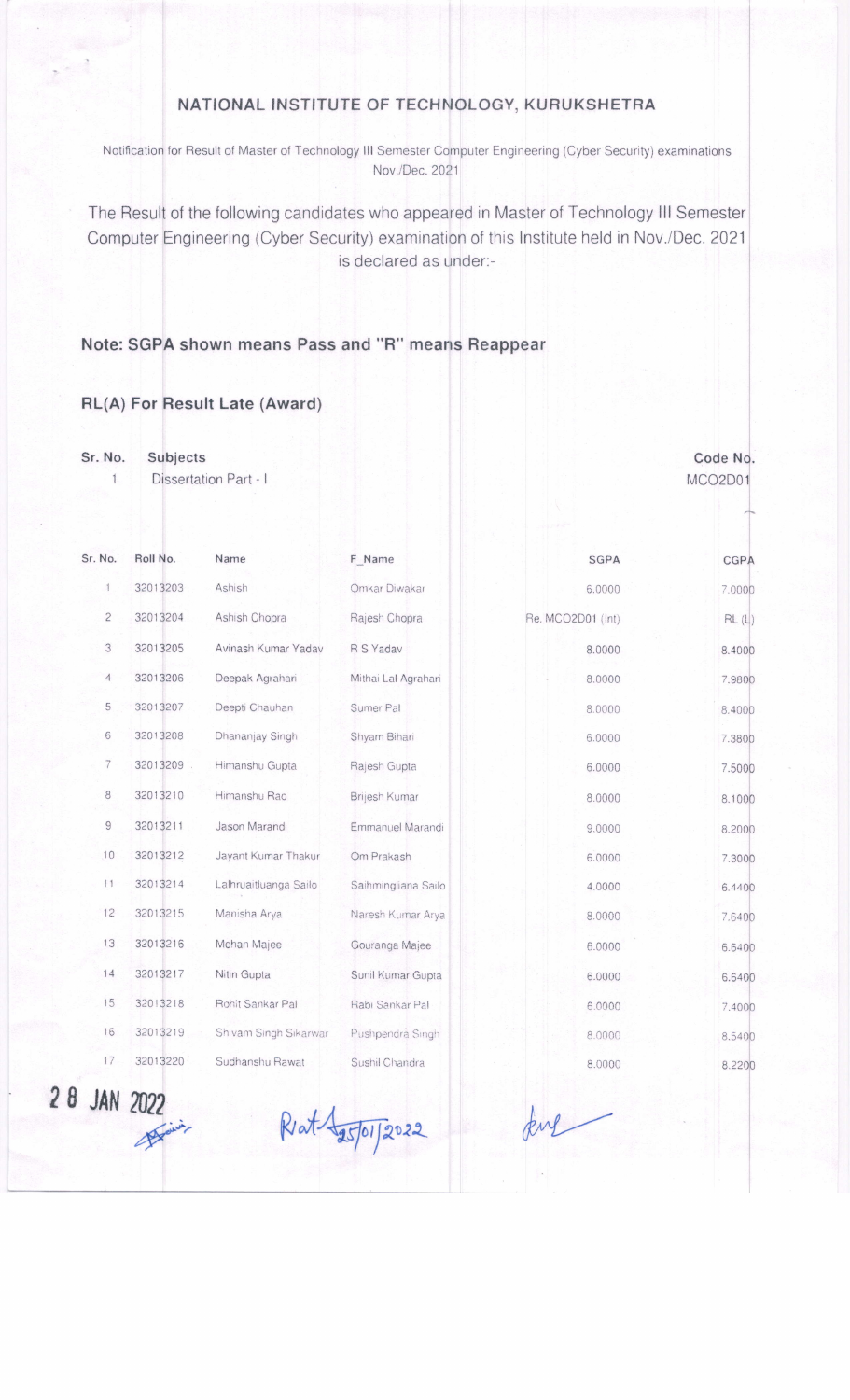## NATIONAL INSTITUTE OF TECHNOLOGY, KURUKSHETRA

Notification for Result of Master of Technology III Semester Computer Engineering (Cyber Security) examinations Nov./Dec. 2021

The Result of the following candidates who appeared in Master of Technology III Semester Computer Engineering (Cyber Security) examination of this Institute held in Nov./Dec. 2021 is declared as under:-

## shown means Pass and "R" means Reappear

## RL(A) For Result Late (Award)

Sr. No. Subjects

> Dissertation Part - I MCO2DO1  $\mathbf{1}$

Code No.

| Sr. No.        | Roll No. | Name                  | F Name              | SGPA              | CGPA   |
|----------------|----------|-----------------------|---------------------|-------------------|--------|
|                | 32013203 | Ashish                | Omkar Diwakar       | 6.0000            | 7.0000 |
| $\overline{c}$ | 32013204 | Ashish Chopra         | Rajesh Chopra       | Re. MCO2D01 (Int) | RL(L)  |
| 3              | 32013205 | Avinash Kumar Yadav   | R S Yadav           | 8.0000            | 8.4000 |
| $\overline{4}$ | 32013206 | Deepak Agrahari       | Mithai Lal Agrahari | 8,0000            | 7,9800 |
| 5              | 32013207 | Deepti Chauhan        | Sumer Pal           | 8.0000            | 8.4000 |
| 6              | 32013208 | Dhananjay Singh       | Shyam Bihari        | 6.0000            | 7.3800 |
| 7              | 32013209 | Himanshu Gupta        | Rajesh Gupta        | 6.0000            | 7.5000 |
| 8              | 32013210 | Himanshu Rao          | Brijesh Kumar       | 8.0000            | 8.1000 |
| $\mathsf{G}$   | 32013211 | Jason Marandi         | Emmanuel Marandi    | 9.0000            | 8.2000 |
| 10             | 32013212 | Jayant Kumar Thakur   | Om Prakash          | 6.0000            | 7.3000 |
| 11             | 32013214 | Lalhruaitluanga Sailo | Saihmingliana Sailo | 4.0000            | 6.4400 |
| 12             | 32013215 | Manisha Arya          | Naresh Kumar Arya   | 8.0000            | 7.6400 |
| 13             | 32013216 | Mohan Majee           | Gouranga Majee      | 6.0000            | 6.6400 |
| 14             | 32013217 | Nitin Gupta           | Sunil Kumar Gupta   | 6.0000            | 6.6400 |
| 15             | 32013218 | Rohit Sankar Pal      | Rabi Sankar Pal     | 6.0000            | 7.4000 |
| 16             | 32013219 | Shivam Singh Sikarwar | Pushpendra Singh    | 8.0000            | 8.5400 |
| 17             | 32013220 | Sudhanshu Rawat       | Sushil Chandra      | 8,0000            | 8.2200 |

28 JAN 'ULL<br>A

Riat 1 15/01/2022 kil